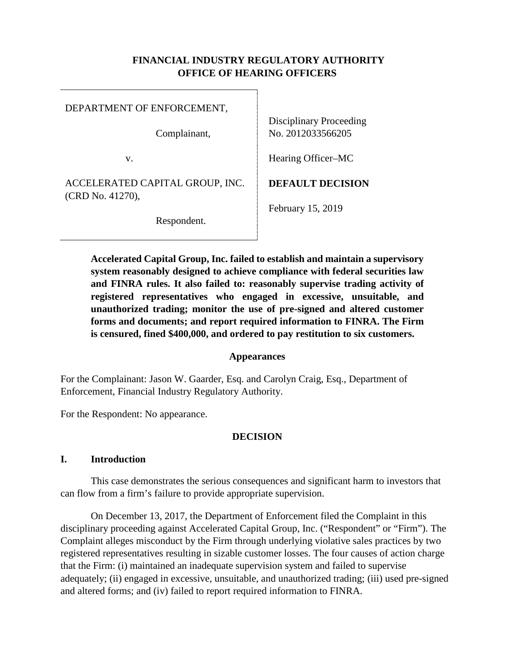### **FINANCIAL INDUSTRY REGULATORY AUTHORITY OFFICE OF HEARING OFFICERS**

DEPARTMENT OF ENFORCEMENT,

Complainant,

v.

ACCELERATED CAPITAL GROUP, INC. (CRD No. 41270),

Respondent.

Disciplinary Proceeding No. 2012033566205

Hearing Officer–MC

**DEFAULT DECISION**

February 15, 2019

**Accelerated Capital Group, Inc. failed to establish and maintain a supervisory system reasonably designed to achieve compliance with federal securities law and FINRA rules. It also failed to: reasonably supervise trading activity of registered representatives who engaged in excessive, unsuitable, and unauthorized trading; monitor the use of pre-signed and altered customer forms and documents; and report required information to FINRA. The Firm is censured, fined \$400,000, and ordered to pay restitution to six customers.** 

#### **Appearances**

For the Complainant: Jason W. Gaarder, Esq. and Carolyn Craig, Esq., Department of Enforcement, Financial Industry Regulatory Authority.

For the Respondent: No appearance.

### **DECISION**

### **I. Introduction**

This case demonstrates the serious consequences and significant harm to investors that can flow from a firm's failure to provide appropriate supervision.

On December 13, 2017, the Department of Enforcement filed the Complaint in this disciplinary proceeding against Accelerated Capital Group, Inc. ("Respondent" or "Firm"). The Complaint alleges misconduct by the Firm through underlying violative sales practices by two registered representatives resulting in sizable customer losses. The four causes of action charge that the Firm: (i) maintained an inadequate supervision system and failed to supervise adequately; (ii) engaged in excessive, unsuitable, and unauthorized trading; (iii) used pre-signed and altered forms; and (iv) failed to report required information to FINRA.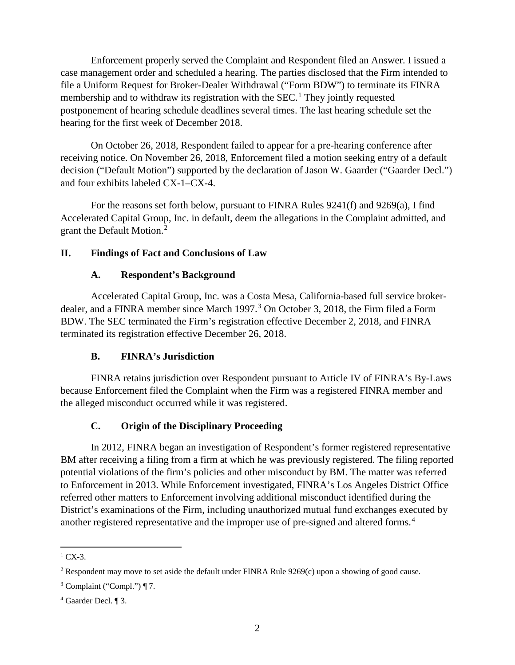Enforcement properly served the Complaint and Respondent filed an Answer. I issued a case management order and scheduled a hearing. The parties disclosed that the Firm intended to file a Uniform Request for Broker-Dealer Withdrawal ("Form BDW") to terminate its FINRA membership and to withdraw its registration with the SEC.<sup>1</sup> They jointly requested postponement of hearing schedule deadlines several times. The last hearing schedule set the hearing for the first week of December 2018.

On October 26, 2018, Respondent failed to appear for a pre-hearing conference after receiving notice. On November 26, 2018, Enforcement filed a motion seeking entry of a default decision ("Default Motion") supported by the declaration of Jason W. Gaarder ("Gaarder Decl.") and four exhibits labeled CX-1–CX-4.

For the reasons set forth below, pursuant to FINRA Rules 9241(f) and 9269(a), I find Accelerated Capital Group, Inc. in default, deem the allegations in the Complaint admitted, and grant the Default Motion. 2

### **II. Findings of Fact and Conclusions of Law**

## **A. Respondent's Background**

Accelerated Capital Group, Inc. was a Costa Mesa, California-based full service brokerdealer, and a FINRA member since March 1997.<sup>3</sup> On October 3, 2018, the Firm filed a Form BDW. The SEC terminated the Firm's registration effective December 2, 2018, and FINRA terminated its registration effective December 26, 2018.

### **B. FINRA's Jurisdiction**

FINRA retains jurisdiction over Respondent pursuant to Article IV of FINRA's By-Laws because Enforcement filed the Complaint when the Firm was a registered FINRA member and the alleged misconduct occurred while it was registered.

# **C. Origin of the Disciplinary Proceeding**

In 2012, FINRA began an investigation of Respondent's former registered representative BM after receiving a filing from a firm at which he was previously registered. The filing reported potential violations of the firm's policies and other misconduct by BM. The matter was referred to Enforcement in 2013. While Enforcement investigated, FINRA's Los Angeles District Office referred other matters to Enforcement involving additional misconduct identified during the District's examinations of the Firm, including unauthorized mutual fund exchanges executed by another registered representative and the improper use of pre-signed and altered forms. 4

 $^{1}$  CX-3.

<sup>2</sup> Respondent may move to set aside the default under FINRA Rule 9269(c) upon a showing of good cause.

 $3$  Complaint ("Compl.") ¶ 7.

<sup>4</sup> Gaarder Decl. ¶ 3.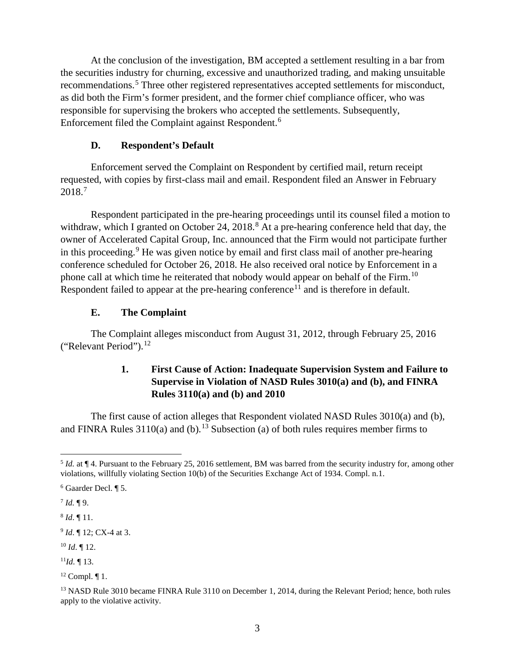At the conclusion of the investigation, BM accepted a settlement resulting in a bar from the securities industry for churning, excessive and unauthorized trading, and making unsuitable recommendations.<sup>5</sup> Three other registered representatives accepted settlements for misconduct, as did both the Firm's former president, and the former chief compliance officer, who was responsible for supervising the brokers who accepted the settlements. Subsequently, Enforcement filed the Complaint against Respondent. 6

#### **D. Respondent's Default**

Enforcement served the Complaint on Respondent by certified mail, return receipt requested, with copies by first-class mail and email. Respondent filed an Answer in February 2018. 7

Respondent participated in the pre-hearing proceedings until its counsel filed a motion to withdraw, which I granted on October 24,  $2018<sup>8</sup>$  At a pre-hearing conference held that day, the owner of Accelerated Capital Group, Inc. announced that the Firm would not participate further in this proceeding. <sup>9</sup> He was given notice by email and first class mail of another pre-hearing conference scheduled for October 26, 2018. He also received oral notice by Enforcement in a phone call at which time he reiterated that nobody would appear on behalf of the Firm.<sup>10</sup> Respondent failed to appear at the pre-hearing conference<sup>11</sup> and is therefore in default.

#### **E. The Complaint**

The Complaint alleges misconduct from August 31, 2012, through February 25, 2016 ("Relevant Period").<sup>12</sup>

## **1. First Cause of Action: Inadequate Supervision System and Failure to Supervise in Violation of NASD Rules 3010(a) and (b), and FINRA Rules 3110(a) and (b) and 2010**

The first cause of action alleges that Respondent violated NASD Rules 3010(a) and (b), and FINRA Rules  $3110(a)$  and (b).<sup>13</sup> Subsection (a) of both rules requires member firms to

<sup>8</sup> *Id*. ¶ 11.

<sup>9</sup> *Id*. ¶ 12; CX-4 at 3.

<sup>10</sup> *Id*. ¶ 12.

 $^{11}Id.$  ¶ 13.

 <sup>5</sup> *Id.* at ¶ 4. Pursuant to the February 25, 2016 settlement, BM was barred from the security industry for, among other violations, willfully violating Section 10(b) of the Securities Exchange Act of 1934. Compl. n.1.

<sup>6</sup> Gaarder Decl. ¶ 5.

 $^{7}$  *Id.*  $\P$ 9.

 $12$  Compl.  $\P$ 1.

<sup>&</sup>lt;sup>13</sup> NASD Rule 3010 became FINRA Rule 3110 on December 1, 2014, during the Relevant Period; hence, both rules apply to the violative activity.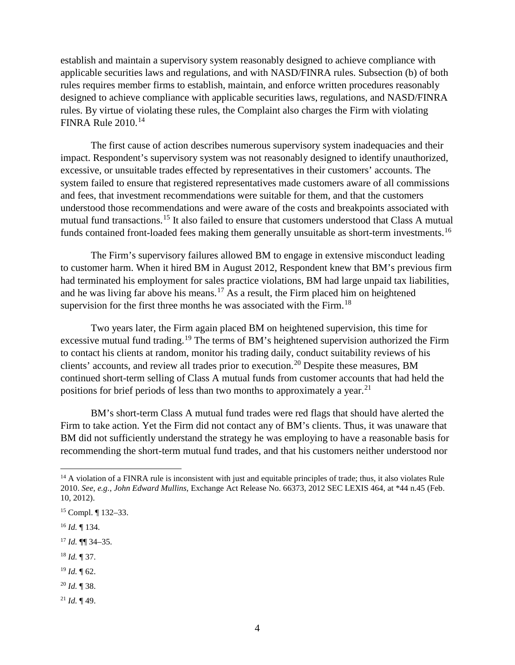establish and maintain a supervisory system reasonably designed to achieve compliance with applicable securities laws and regulations, and with NASD/FINRA rules. Subsection (b) of both rules requires member firms to establish, maintain, and enforce written procedures reasonably designed to achieve compliance with applicable securities laws, regulations, and NASD/FINRA rules. By virtue of violating these rules, the Complaint also charges the Firm with violating FINRA Rule 2010.<sup>14</sup>

The first cause of action describes numerous supervisory system inadequacies and their impact. Respondent's supervisory system was not reasonably designed to identify unauthorized, excessive, or unsuitable trades effected by representatives in their customers' accounts. The system failed to ensure that registered representatives made customers aware of all commissions and fees, that investment recommendations were suitable for them, and that the customers understood those recommendations and were aware of the costs and breakpoints associated with mutual fund transactions. <sup>15</sup> It also failed to ensure that customers understood that Class A mutual funds contained front-loaded fees making them generally unsuitable as short-term investments.<sup>16</sup>

The Firm's supervisory failures allowed BM to engage in extensive misconduct leading to customer harm. When it hired BM in August 2012, Respondent knew that BM's previous firm had terminated his employment for sales practice violations, BM had large unpaid tax liabilities, and he was living far above his means.<sup>17</sup> As a result, the Firm placed him on heightened supervision for the first three months he was associated with the Firm.<sup>18</sup>

Two years later, the Firm again placed BM on heightened supervision, this time for excessive mutual fund trading.<sup>19</sup> The terms of BM's heightened supervision authorized the Firm to contact his clients at random, monitor his trading daily, conduct suitability reviews of his clients' accounts, and review all trades prior to execution.<sup>20</sup> Despite these measures, BM continued short-term selling of Class A mutual funds from customer accounts that had held the positions for brief periods of less than two months to approximately a year.<sup>21</sup>

BM's short-term Class A mutual fund trades were red flags that should have alerted the Firm to take action. Yet the Firm did not contact any of BM's clients. Thus, it was unaware that BM did not sufficiently understand the strategy he was employing to have a reasonable basis for recommending the short-term mutual fund trades, and that his customers neither understood nor

<sup>17</sup> *Id.* ¶¶ 34–35.

- <sup>18</sup> *Id.* ¶ 37.
- <sup>19</sup> *Id.* ¶ 62.
- <sup>20</sup> *Id.* ¶ 38.
- <sup>21</sup> *Id.* ¶ 49.

 $14$  A violation of a FINRA rule is inconsistent with just and equitable principles of trade; thus, it also violates Rule 2010. *See, e.g.*, *John Edward Mullins*, Exchange Act Release No. 66373, 2012 SEC LEXIS 464, at \*44 n.45 (Feb. 10, 2012).

<sup>15</sup> Compl. ¶ 132–33.

<sup>16</sup> *Id.* ¶ 134.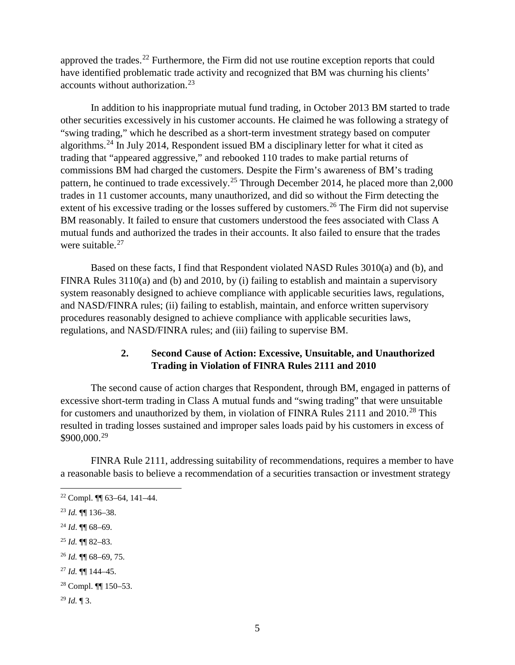approved the trades.<sup>22</sup> Furthermore, the Firm did not use routine exception reports that could have identified problematic trade activity and recognized that BM was churning his clients' accounts without authorization.<sup>23</sup>

In addition to his inappropriate mutual fund trading, in October 2013 BM started to trade other securities excessively in his customer accounts. He claimed he was following a strategy of "swing trading," which he described as a short-term investment strategy based on computer algorithms.<sup>24</sup> In July 2014, Respondent issued BM a disciplinary letter for what it cited as trading that "appeared aggressive," and rebooked 110 trades to make partial returns of commissions BM had charged the customers. Despite the Firm's awareness of BM's trading pattern, he continued to trade excessively.<sup>25</sup> Through December 2014, he placed more than 2,000 trades in 11 customer accounts, many unauthorized, and did so without the Firm detecting the extent of his excessive trading or the losses suffered by customers.<sup>26</sup> The Firm did not supervise BM reasonably. It failed to ensure that customers understood the fees associated with Class A mutual funds and authorized the trades in their accounts. It also failed to ensure that the trades were suitable.<sup>27</sup>

Based on these facts, I find that Respondent violated NASD Rules 3010(a) and (b), and FINRA Rules 3110(a) and (b) and 2010, by (i) failing to establish and maintain a supervisory system reasonably designed to achieve compliance with applicable securities laws, regulations, and NASD/FINRA rules; (ii) failing to establish, maintain, and enforce written supervisory procedures reasonably designed to achieve compliance with applicable securities laws, regulations, and NASD/FINRA rules; and (iii) failing to supervise BM.

## **2. Second Cause of Action: Excessive, Unsuitable, and Unauthorized Trading in Violation of FINRA Rules 2111 and 2010**

The second cause of action charges that Respondent, through BM, engaged in patterns of excessive short-term trading in Class A mutual funds and "swing trading" that were unsuitable for customers and unauthorized by them, in violation of FINRA Rules 2111 and  $2010^{28}$  This resulted in trading losses sustained and improper sales loads paid by his customers in excess of \$900,000.<sup>29</sup>

FINRA Rule 2111, addressing suitability of recommendations, requires a member to have a reasonable basis to believe a recommendation of a securities transaction or investment strategy

<sup>24</sup> *Id*. ¶¶ 68–69.

<sup>27</sup> *Id.* ¶¶ 144–45.

 $22$  Compl.  $\P$  63–64, 141–44.

<sup>23</sup> *Id.* ¶¶ 136–38.

<sup>25</sup> *Id.* ¶¶ 82–83.

<sup>26</sup> *Id.* ¶¶ 68–69, 75.

<sup>28</sup> Compl. ¶¶ 150–53.

<sup>29</sup> *Id.* ¶ 3.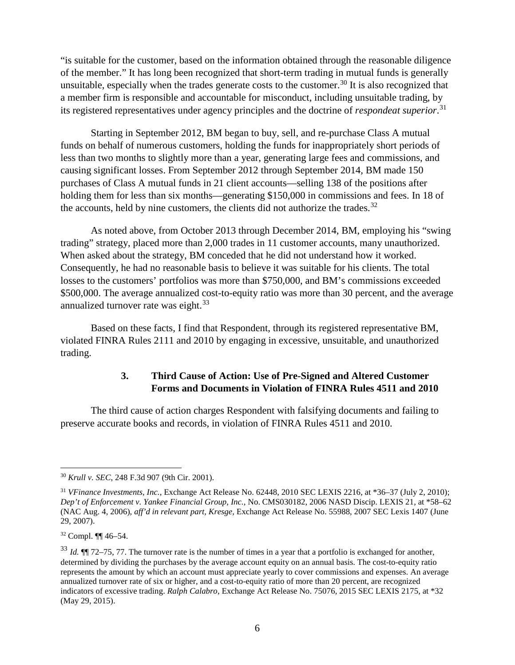"is suitable for the customer, based on the information obtained through the reasonable diligence of the member." It has long been recognized that short-term trading in mutual funds is generally unsuitable, especially when the trades generate costs to the customer.<sup>30</sup> It is also recognized that a member firm is responsible and accountable for misconduct, including unsuitable trading, by its registered representatives under agency principles and the doctrine of *respondeat superior*. 31

Starting in September 2012, BM began to buy, sell, and re-purchase Class A mutual funds on behalf of numerous customers, holding the funds for inappropriately short periods of less than two months to slightly more than a year, generating large fees and commissions, and causing significant losses. From September 2012 through September 2014, BM made 150 purchases of Class A mutual funds in 21 client accounts—selling 138 of the positions after holding them for less than six months—generating \$150,000 in commissions and fees. In 18 of the accounts, held by nine customers, the clients did not authorize the trades.<sup>32</sup>

As noted above, from October 2013 through December 2014, BM, employing his "swing trading" strategy, placed more than 2,000 trades in 11 customer accounts, many unauthorized. When asked about the strategy, BM conceded that he did not understand how it worked. Consequently, he had no reasonable basis to believe it was suitable for his clients. The total losses to the customers' portfolios was more than \$750,000, and BM's commissions exceeded \$500,000. The average annualized cost-to-equity ratio was more than 30 percent, and the average annualized turnover rate was eight.<sup>33</sup>

Based on these facts, I find that Respondent, through its registered representative BM, violated FINRA Rules 2111 and 2010 by engaging in excessive, unsuitable, and unauthorized trading.

## **3. Third Cause of Action: Use of Pre-Signed and Altered Customer Forms and Documents in Violation of FINRA Rules 4511 and 2010**

The third cause of action charges Respondent with falsifying documents and failing to preserve accurate books and records, in violation of FINRA Rules 4511 and 2010.

 <sup>30</sup> *Krull v. SEC*, 248 F.3d 907 (9th Cir. 2001).

<sup>31</sup> *VFinance Investments, Inc.,* Exchange Act Release No. 62448, 2010 SEC LEXIS 2216, at \*36–37 (July 2, 2010); *Dep't of Enforcement v. Yankee Financial Group, Inc.*, No. CMS030182, 2006 NASD Discip. LEXIS 21, at \*58–62 (NAC Aug. 4, 2006), *aff'd in relevant part*, *Kresge*, Exchange Act Release No. 55988, 2007 SEC Lexis 1407 (June 29, 2007).

<sup>32</sup> Compl. ¶¶ 46–54.

<sup>33</sup> *Id.* ¶¶ 72–75, 77. The turnover rate is the number of times in a year that a portfolio is exchanged for another, determined by dividing the purchases by the average account equity on an annual basis. The cost-to-equity ratio represents the amount by which an account must appreciate yearly to cover commissions and expenses. An average annualized turnover rate of six or higher, and a cost-to-equity ratio of more than 20 percent, are recognized indicators of excessive trading. *Ralph Calabro*, Exchange Act Release No. 75076, 2015 SEC LEXIS 2175, at \*32 (May 29, 2015).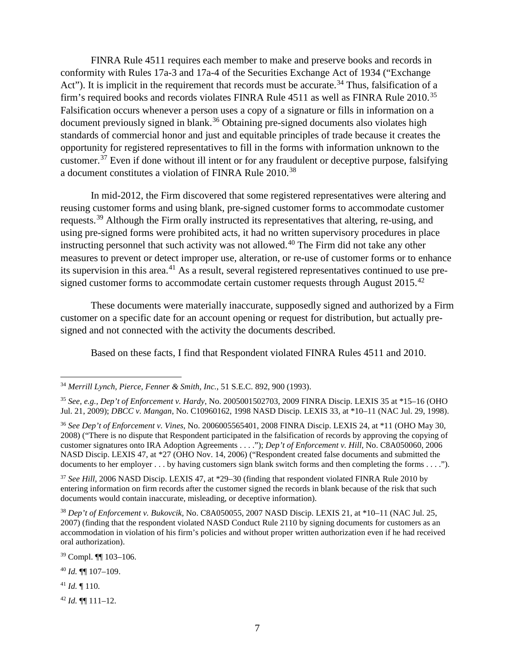FINRA Rule 4511 requires each member to make and preserve books and records in conformity with Rules 17a-3 and 17a-4 of the Securities Exchange Act of 1934 ("Exchange Act"). It is implicit in the requirement that records must be accurate.<sup>34</sup> Thus, falsification of a firm's required books and records violates FINRA Rule 4511 as well as FINRA Rule 2010.<sup>35</sup> Falsification occurs whenever a person uses a copy of a signature or fills in information on a document previously signed in blank.<sup>36</sup> Obtaining pre-signed documents also violates high standards of commercial honor and just and equitable principles of trade because it creates the opportunity for registered representatives to fill in the forms with information unknown to the customer. $37$  Even if done without ill intent or for any fraudulent or deceptive purpose, falsifying a document constitutes a violation of FINRA Rule 2010.<sup>38</sup>

In mid-2012, the Firm discovered that some registered representatives were altering and reusing customer forms and using blank, pre-signed customer forms to accommodate customer requests.<sup>39</sup> Although the Firm orally instructed its representatives that altering, re-using, and using pre-signed forms were prohibited acts, it had no written supervisory procedures in place instructing personnel that such activity was not allowed. <sup>40</sup> The Firm did not take any other measures to prevent or detect improper use, alteration, or re-use of customer forms or to enhance its supervision in this area.<sup>41</sup> As a result, several registered representatives continued to use presigned customer forms to accommodate certain customer requests through August 2015.<sup>42</sup>

These documents were materially inaccurate, supposedly signed and authorized by a Firm customer on a specific date for an account opening or request for distribution, but actually presigned and not connected with the activity the documents described.

Based on these facts, I find that Respondent violated FINRA Rules 4511 and 2010.

<sup>39</sup> Compl. ¶¶ 103–106.

<sup>40</sup> *Id.* ¶¶ 107–109.

<sup>41</sup> *Id.* ¶ 110.

<sup>42</sup> *Id.* ¶¶ 111–12.

 <sup>34</sup> *Merrill Lynch, Pierce, Fenner & Smith, Inc.*, 51 S.E.C. 892, 900 (1993).

<sup>35</sup> *See, e.g., Dep't of Enforcement v. Hardy*, No. 2005001502703, 2009 FINRA Discip. LEXIS 35 at \*15–16 (OHO Jul. 21, 2009); *DBCC v. Mangan*, No. C10960162, 1998 NASD Discip. LEXIS 33, at \*10–11 (NAC Jul. 29, 1998).

<sup>36</sup> *See Dep't of Enforcement v. Vines*, No. 2006005565401, 2008 FINRA Discip. LEXIS 24, at \*11 (OHO May 30, 2008) ("There is no dispute that Respondent participated in the falsification of records by approving the copying of customer signatures onto IRA Adoption Agreements . . . ."); *Dep't of Enforcement v. Hill*, No. C8A050060, 2006 NASD Discip. LEXIS 47, at \*27 (OHO Nov. 14, 2006) ("Respondent created false documents and submitted the documents to her employer . . . by having customers sign blank switch forms and then completing the forms . . . .").

<sup>37</sup> *See Hill*, 2006 NASD Discip. LEXIS 47, at \*29–30 (finding that respondent violated FINRA Rule 2010 by entering information on firm records after the customer signed the records in blank because of the risk that such documents would contain inaccurate, misleading, or deceptive information).

<sup>38</sup> *Dep't of Enforcement v. Bukovcik,* No. C8A050055, 2007 NASD Discip. LEXIS 21, at \*10–11 (NAC Jul. 25, 2007) (finding that the respondent violated NASD Conduct Rule 2110 by signing documents for customers as an accommodation in violation of his firm's policies and without proper written authorization even if he had received oral authorization).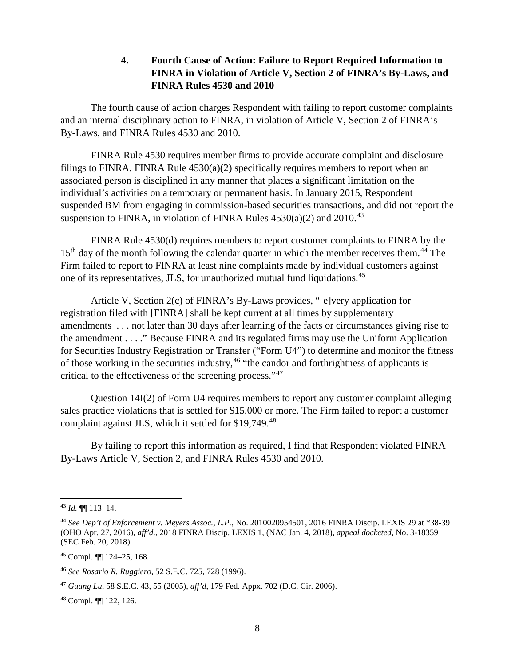### **4. Fourth Cause of Action: Failure to Report Required Information to FINRA in Violation of Article V, Section 2 of FINRA's By-Laws, and FINRA Rules 4530 and 2010**

The fourth cause of action charges Respondent with failing to report customer complaints and an internal disciplinary action to FINRA, in violation of Article V, Section 2 of FINRA's By-Laws, and FINRA Rules 4530 and 2010.

FINRA Rule 4530 requires member firms to provide accurate complaint and disclosure filings to FINRA. FINRA Rule  $4530(a)(2)$  specifically requires members to report when an associated person is disciplined in any manner that places a significant limitation on the individual's activities on a temporary or permanent basis. In January 2015, Respondent suspended BM from engaging in commission-based securities transactions, and did not report the suspension to FINRA, in violation of FINRA Rules  $4530(a)(2)$  and  $2010.<sup>43</sup>$ 

FINRA Rule 4530(d) requires members to report customer complaints to FINRA by the 15<sup>th</sup> day of the month following the calendar quarter in which the member receives them.<sup>44</sup> The Firm failed to report to FINRA at least nine complaints made by individual customers against one of its representatives, JLS, for unauthorized mutual fund liquidations. 45

Article V, Section 2(c) of FINRA's By-Laws provides, "[e]very application for registration filed with [FINRA] shall be kept current at all times by supplementary amendments . . . not later than 30 days after learning of the facts or circumstances giving rise to the amendment . . . ." Because FINRA and its regulated firms may use the Uniform Application for Securities Industry Registration or Transfer ("Form U4") to determine and monitor the fitness of those working in the securities industry,  $46$  "the candor and forthrightness of applicants is critical to the effectiveness of the screening process."<sup>47</sup>

Question 14I(2) of Form U4 requires members to report any customer complaint alleging sales practice violations that is settled for \$15,000 or more. The Firm failed to report a customer complaint against JLS, which it settled for \$19,749.<sup>48</sup>

By failing to report this information as required, I find that Respondent violated FINRA By-Laws Article V, Section 2, and FINRA Rules 4530 and 2010.

 <sup>43</sup> *Id.* ¶¶ 113–14.

<sup>44</sup> *See Dep't of Enforcement v. Meyers Assoc., L.P.,* No. 2010020954501, 2016 FINRA Discip. LEXIS 29 at \*38-39 (OHO Apr. 27, 2016), *aff'd*., 2018 FINRA Discip. LEXIS 1, (NAC Jan. 4, 2018), *appeal docketed*, No. 3-18359 (SEC Feb. 20, 2018).

<sup>45</sup> Compl. ¶¶ 124–25, 168.

<sup>46</sup> *See Rosario R. Ruggiero*, 52 S.E.C. 725, 728 (1996).

<sup>47</sup> *Guang Lu*, 58 S.E.C. 43, 55 (2005), *aff'd*, 179 Fed. Appx. 702 (D.C. Cir. 2006).

<sup>48</sup> Compl. ¶¶ 122, 126.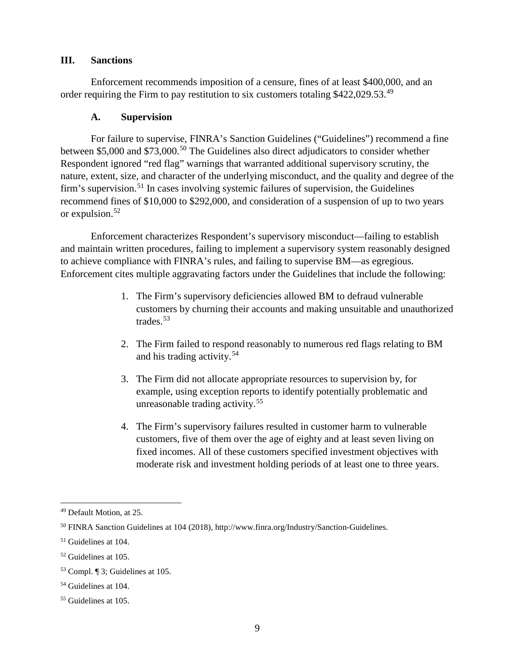#### **III. Sanctions**

Enforcement recommends imposition of a censure, fines of at least \$400,000, and an order requiring the Firm to pay restitution to six customers totaling \$422,029.53.<sup>49</sup>

#### **A. Supervision**

For failure to supervise, FINRA's Sanction Guidelines ("Guidelines") recommend a fine between \$5,000 and \$73,000.<sup>50</sup> The Guidelines also direct adjudicators to consider whether Respondent ignored "red flag" warnings that warranted additional supervisory scrutiny, the nature, extent, size, and character of the underlying misconduct, and the quality and degree of the firm's supervision.<sup>51</sup> In cases involving systemic failures of supervision, the Guidelines recommend fines of \$10,000 to \$292,000, and consideration of a suspension of up to two years or expulsion.<sup>52</sup>

Enforcement characterizes Respondent's supervisory misconduct—failing to establish and maintain written procedures, failing to implement a supervisory system reasonably designed to achieve compliance with FINRA's rules, and failing to supervise BM—as egregious. Enforcement cites multiple aggravating factors under the Guidelines that include the following:

- 1. The Firm's supervisory deficiencies allowed BM to defraud vulnerable customers by churning their accounts and making unsuitable and unauthorized trades.<sup>53</sup>
- 2. The Firm failed to respond reasonably to numerous red flags relating to BM and his trading activity.<sup>54</sup>
- 3. The Firm did not allocate appropriate resources to supervision by, for example, using exception reports to identify potentially problematic and unreasonable trading activity. 55
- 4. The Firm's supervisory failures resulted in customer harm to vulnerable customers, five of them over the age of eighty and at least seven living on fixed incomes. All of these customers specified investment objectives with moderate risk and investment holding periods of at least one to three years.

 <sup>49</sup> Default Motion, at 25.

<sup>50</sup> FINRA Sanction Guidelines at 104 (2018), http://www.finra.org/Industry/Sanction-Guidelines.

<sup>51</sup> Guidelines at 104.

<sup>52</sup> Guidelines at 105.

<sup>53</sup> Compl. ¶ 3; Guidelines at 105.

<sup>54</sup> Guidelines at 104.

<sup>55</sup> Guidelines at 105.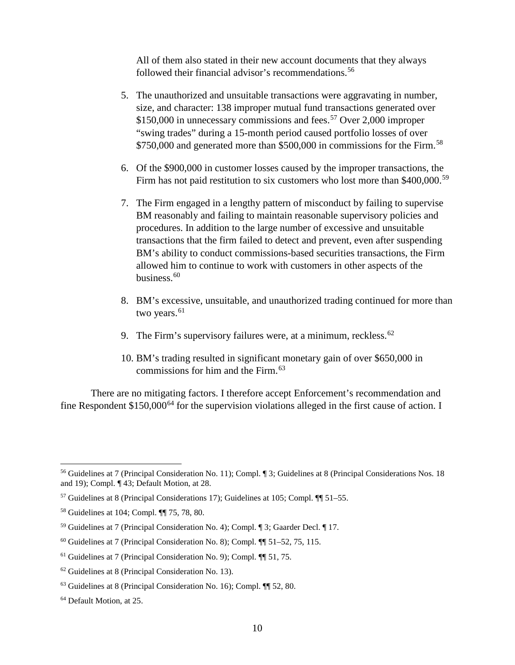All of them also stated in their new account documents that they always followed their financial advisor's recommendations.<sup>56</sup>

- 5. The unauthorized and unsuitable transactions were aggravating in number, size, and character: 138 improper mutual fund transactions generated over  $$150,000$  in unnecessary commissions and fees.<sup>57</sup> Over 2,000 improper "swing trades" during a 15-month period caused portfolio losses of over \$750,000 and generated more than \$500,000 in commissions for the Firm.<sup>58</sup>
- 6. Of the \$900,000 in customer losses caused by the improper transactions, the Firm has not paid restitution to six customers who lost more than \$400,000.<sup>59</sup>
- 7. The Firm engaged in a lengthy pattern of misconduct by failing to supervise BM reasonably and failing to maintain reasonable supervisory policies and procedures. In addition to the large number of excessive and unsuitable transactions that the firm failed to detect and prevent, even after suspending BM's ability to conduct commissions-based securities transactions, the Firm allowed him to continue to work with customers in other aspects of the business.<sup>60</sup>
- 8. BM's excessive, unsuitable, and unauthorized trading continued for more than two years.<sup>61</sup>
- 9. The Firm's supervisory failures were, at a minimum, reckless.  $62$
- 10. BM's trading resulted in significant monetary gain of over \$650,000 in commissions for him and the Firm. 63

There are no mitigating factors. I therefore accept Enforcement's recommendation and fine Respondent  $$150,000<sup>64</sup>$  for the supervision violations alleged in the first cause of action. I

 <sup>56</sup> Guidelines at 7 (Principal Consideration No. 11); Compl. ¶ 3; Guidelines at 8 (Principal Considerations Nos. 18 and 19); Compl. ¶ 43; Default Motion, at 28.

<sup>57</sup> Guidelines at 8 (Principal Considerations 17); Guidelines at 105; Compl. ¶¶ 51–55.

<sup>58</sup> Guidelines at 104; Compl. ¶¶ 75, 78, 80.

<sup>59</sup> Guidelines at 7 (Principal Consideration No. 4); Compl. ¶ 3; Gaarder Decl. ¶ 17.

 $60$  Guidelines at 7 (Principal Consideration No. 8); Compl.  $\P$  51–52, 75, 115.

 $61$  Guidelines at 7 (Principal Consideration No. 9); Compl.  $\P$  51, 75.

 $62$  Guidelines at 8 (Principal Consideration No. 13).

<sup>63</sup> Guidelines at 8 (Principal Consideration No. 16); Compl. ¶¶ 52, 80.

<sup>64</sup> Default Motion, at 25.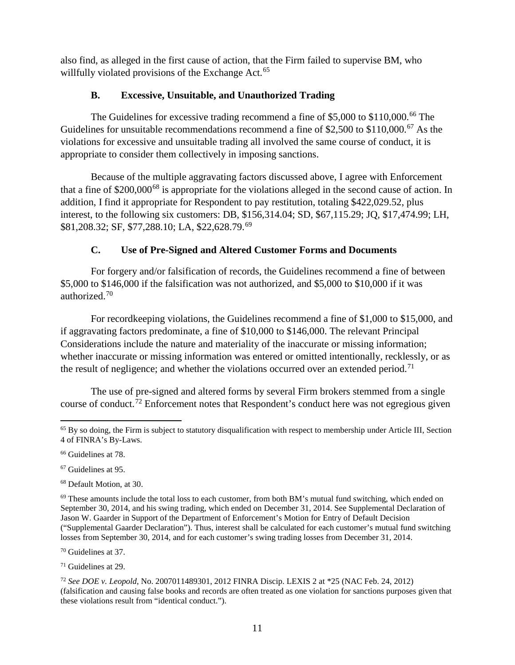also find, as alleged in the first cause of action, that the Firm failed to supervise BM, who willfully violated provisions of the Exchange Act.<sup>65</sup>

## **B. Excessive, Unsuitable, and Unauthorized Trading**

The Guidelines for excessive trading recommend a fine of \$5,000 to \$110,000.<sup>66</sup> The Guidelines for unsuitable recommendations recommend a fine of \$2,500 to \$110,000.<sup>67</sup> As the violations for excessive and unsuitable trading all involved the same course of conduct, it is appropriate to consider them collectively in imposing sanctions.

Because of the multiple aggravating factors discussed above, I agree with Enforcement that a fine of \$200,000<sup>68</sup> is appropriate for the violations alleged in the second cause of action. In addition, I find it appropriate for Respondent to pay restitution, totaling \$422,029.52, plus interest, to the following six customers: DB, \$156,314.04; SD, \$67,115.29; JQ, \$17,474.99; LH, \$81,208.32; SF, \$77,288.10; LA, \$22,628.79.<sup>69</sup>

# **C. Use of Pre-Signed and Altered Customer Forms and Documents**

For forgery and/or falsification of records, the Guidelines recommend a fine of between \$5,000 to \$146,000 if the falsification was not authorized, and \$5,000 to \$10,000 if it was authorized.<sup>70</sup>

For recordkeeping violations, the Guidelines recommend a fine of \$1,000 to \$15,000, and if aggravating factors predominate, a fine of \$10,000 to \$146,000. The relevant Principal Considerations include the nature and materiality of the inaccurate or missing information; whether inaccurate or missing information was entered or omitted intentionally, recklessly, or as the result of negligence; and whether the violations occurred over an extended period.<sup>71</sup>

The use of pre-signed and altered forms by several Firm brokers stemmed from a single course of conduct.<sup>72</sup> Enforcement notes that Respondent's conduct here was not egregious given

<sup>67</sup> Guidelines at 95.

<sup>68</sup> Default Motion, at 30.

<sup>70</sup> Guidelines at 37.

<sup>71</sup> Guidelines at 29.

<sup>72</sup> *See DOE v. Leopold*, No. 2007011489301, 2012 FINRA Discip. LEXIS 2 at \*25 (NAC Feb. 24, 2012) (falsification and causing false books and records are often treated as one violation for sanctions purposes given that these violations result from "identical conduct.").

<sup>&</sup>lt;sup>65</sup> By so doing, the Firm is subject to statutory disqualification with respect to membership under Article III, Section 4 of FINRA's By-Laws.

<sup>66</sup> Guidelines at 78.

 $69$  These amounts include the total loss to each customer, from both BM's mutual fund switching, which ended on September 30, 2014, and his swing trading, which ended on December 31, 2014. See Supplemental Declaration of Jason W. Gaarder in Support of the Department of Enforcement's Motion for Entry of Default Decision ("Supplemental Gaarder Declaration"). Thus, interest shall be calculated for each customer's mutual fund switching losses from September 30, 2014, and for each customer's swing trading losses from December 31, 2014.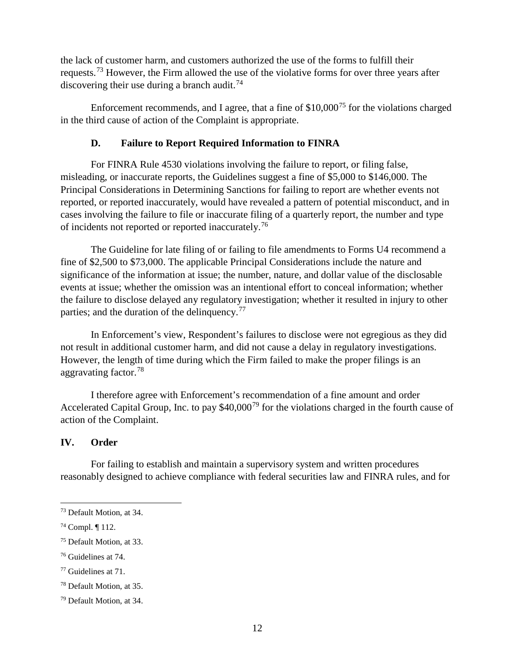the lack of customer harm, and customers authorized the use of the forms to fulfill their requests.<sup>73</sup> However, the Firm allowed the use of the violative forms for over three years after discovering their use during a branch audit.<sup>74</sup>

Enforcement recommends, and I agree, that a fine of  $$10,000^{75}$  for the violations charged in the third cause of action of the Complaint is appropriate.

#### **D. Failure to Report Required Information to FINRA**

For FINRA Rule 4530 violations involving the failure to report, or filing false, misleading, or inaccurate reports, the Guidelines suggest a fine of \$5,000 to \$146,000. The Principal Considerations in Determining Sanctions for failing to report are whether events not reported, or reported inaccurately, would have revealed a pattern of potential misconduct, and in cases involving the failure to file or inaccurate filing of a quarterly report, the number and type of incidents not reported or reported inaccurately.<sup>76</sup>

The Guideline for late filing of or failing to file amendments to Forms U4 recommend a fine of \$2,500 to \$73,000. The applicable Principal Considerations include the nature and significance of the information at issue; the number, nature, and dollar value of the disclosable events at issue; whether the omission was an intentional effort to conceal information; whether the failure to disclose delayed any regulatory investigation; whether it resulted in injury to other parties; and the duration of the delinquency.<sup>77</sup>

In Enforcement's view, Respondent's failures to disclose were not egregious as they did not result in additional customer harm, and did not cause a delay in regulatory investigations. However, the length of time during which the Firm failed to make the proper filings is an aggravating factor. 78

I therefore agree with Enforcement's recommendation of a fine amount and order Accelerated Capital Group, Inc. to pay  $$40,000^{79}$  for the violations charged in the fourth cause of action of the Complaint.

### **IV. Order**

For failing to establish and maintain a supervisory system and written procedures reasonably designed to achieve compliance with federal securities law and FINRA rules, and for

 <sup>73</sup> Default Motion, at 34.

<sup>74</sup> Compl. ¶ 112.

<sup>75</sup> Default Motion, at 33.

<sup>76</sup> Guidelines at 74.

<sup>77</sup> Guidelines at 71.

<sup>78</sup> Default Motion, at 35.

<sup>79</sup> Default Motion, at 34.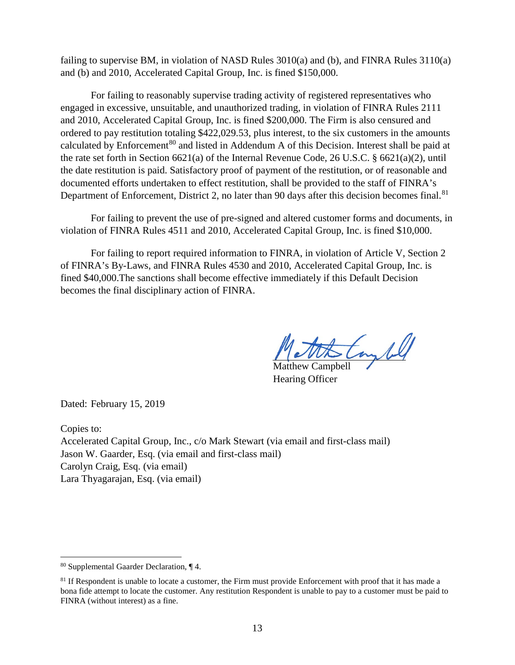failing to supervise BM, in violation of NASD Rules 3010(a) and (b), and FINRA Rules 3110(a) and (b) and 2010, Accelerated Capital Group, Inc. is fined \$150,000.

For failing to reasonably supervise trading activity of registered representatives who engaged in excessive, unsuitable, and unauthorized trading, in violation of FINRA Rules 2111 and 2010, Accelerated Capital Group, Inc. is fined \$200,000. The Firm is also censured and ordered to pay restitution totaling \$422,029.53, plus interest, to the six customers in the amounts calculated by Enforcement<sup>80</sup> and listed in Addendum A of this Decision. Interest shall be paid at the rate set forth in Section 6621(a) of the Internal Revenue Code, 26 U.S.C. § 6621(a)(2), until the date restitution is paid. Satisfactory proof of payment of the restitution, or of reasonable and documented efforts undertaken to effect restitution, shall be provided to the staff of FINRA's Department of Enforcement, District 2, no later than 90 days after this decision becomes final.<sup>81</sup>

For failing to prevent the use of pre-signed and altered customer forms and documents, in violation of FINRA Rules 4511 and 2010, Accelerated Capital Group, Inc. is fined \$10,000.

For failing to report required information to FINRA, in violation of Article V, Section 2 of FINRA's By-Laws, and FINRA Rules 4530 and 2010, Accelerated Capital Group, Inc. is fined \$40,000.The sanctions shall become effective immediately if this Default Decision becomes the final disciplinary action of FINRA.

toyled

Matthew Campbell Hearing Officer

Dated: February 15, 2019

Copies to:

Accelerated Capital Group, Inc., c/o Mark Stewart (via email and first-class mail) Jason W. Gaarder, Esq. (via email and first-class mail) Carolyn Craig, Esq. (via email) Lara Thyagarajan, Esq. (via email)

 <sup>80</sup> Supplemental Gaarder Declaration, ¶ 4.

<sup>&</sup>lt;sup>81</sup> If Respondent is unable to locate a customer, the Firm must provide Enforcement with proof that it has made a bona fide attempt to locate the customer. Any restitution Respondent is unable to pay to a customer must be paid to FINRA (without interest) as a fine.